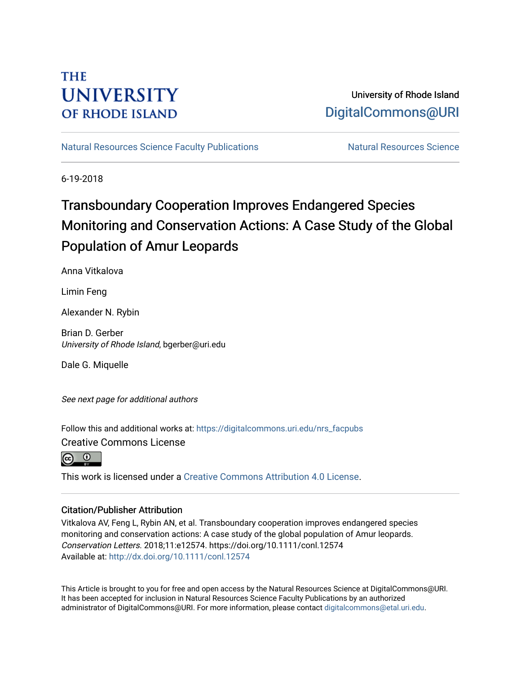# **THE UNIVERSITY OF RHODE ISLAND**

## University of Rhode Island [DigitalCommons@URI](https://digitalcommons.uri.edu/)

[Natural Resources Science Faculty Publications](https://digitalcommons.uri.edu/nrs_facpubs) Natural Resources Science

6-19-2018

# Transboundary Cooperation Improves Endangered Species Monitoring and Conservation Actions: A Case Study of the Global Population of Amur Leopards

Anna Vitkalova

Limin Feng

Alexander N. Rybin

Brian D. Gerber University of Rhode Island, bgerber@uri.edu

Dale G. Miquelle

See next page for additional authors

Follow this and additional works at: [https://digitalcommons.uri.edu/nrs\\_facpubs](https://digitalcommons.uri.edu/nrs_facpubs?utm_source=digitalcommons.uri.edu%2Fnrs_facpubs%2F82&utm_medium=PDF&utm_campaign=PDFCoverPages) 

Creative Commons License



This work is licensed under a [Creative Commons Attribution 4.0 License](https://creativecommons.org/licenses/by/4.0/).

## Citation/Publisher Attribution

Vitkalova AV, Feng L, Rybin AN, et al. Transboundary cooperation improves endangered species monitoring and conservation actions: A case study of the global population of Amur leopards. Conservation Letters. 2018;11:e12574. https://doi.org/10.1111/conl.12574 Available at:<http://dx.doi.org/10.1111/conl.12574>

This Article is brought to you for free and open access by the Natural Resources Science at DigitalCommons@URI. It has been accepted for inclusion in Natural Resources Science Faculty Publications by an authorized administrator of DigitalCommons@URI. For more information, please contact [digitalcommons@etal.uri.edu.](mailto:digitalcommons@etal.uri.edu)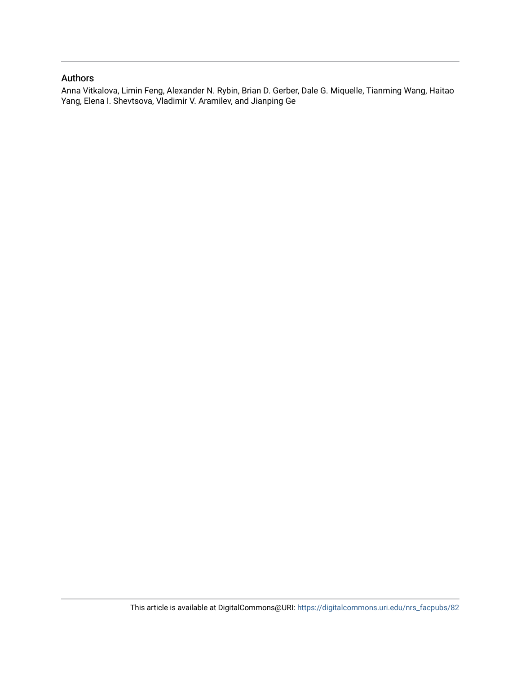## Authors

Anna Vitkalova, Limin Feng, Alexander N. Rybin, Brian D. Gerber, Dale G. Miquelle, Tianming Wang, Haitao Yang, Elena I. Shevtsova, Vladimir V. Aramilev, and Jianping Ge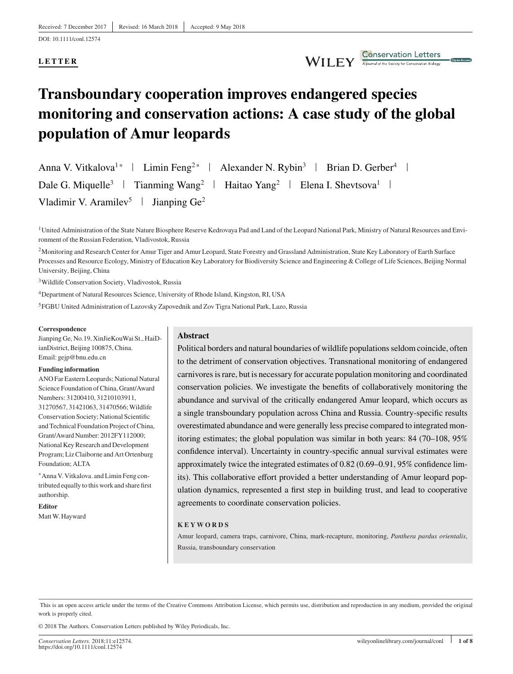### **LETTER**

WILEY Conservation Letters

# **Transboundary cooperation improves endangered species monitoring and conservation actions: A case study of the global population of Amur leopards**

Anna V. Vitkalova<sup>1</sup>\* | Limin Feng<sup>2</sup>\* | Alexander N. Rybin<sup>3</sup> | Brian D. Gerber<sup>4</sup> | Dale G. Miquelle<sup>3</sup> | Tianming Wang<sup>2</sup> | Haitao Yang<sup>2</sup> | Elena I. Shevtsova<sup>1</sup> | Vladimir V. Aramilev<sup>5</sup> | Jianping  $Ge^2$ 

<sup>1</sup> United Administration of the State Nature Biosphere Reserve Kedrovaya Pad and Land of the Leopard National Park, Ministry of Natural Resources and Environment of the Russian Federation, Vladivostok, Russia

<sup>2</sup>Monitoring and Research Center for Amur Tiger and Amur Leopard, State Forestry and Grassland Administration, State Key Laboratory of Earth Surface Processes and Resource Ecology, Ministry of Education Key Laboratory for Biodiversity Science and Engineering & College of Life Sciences, Beijing Normal University, Beijing, China

3Wildlife Conservation Society, Vladivostok, Russia

4Department of Natural Resources Science, University of Rhode Island, Kingston, RI, USA

5FGBU United Administration of Lazovsky Zapovednik and Zov Tigra National Park, Lazo, Russia

#### **Correspondence**

Jianping Ge, No.19, XinJieKouWai St., HaiDianDistrict, Beijing 100875, China. Email: gejp@bnu.edu.cn

#### **Funding information**

ANO Far Eastern Leopards; National Natural Science Foundation of China, Grant/Award Numbers: 31200410, 31210103911, 31270567, 31421063, 31470566;Wildlife Conservation Society; National Scientific and Technical Foundation Project of China, Grant/Award Number: 2012FY112000; National Key Research and Development Program; Liz Claiborne and Art Ortenburg Foundation; ALTA

<sup>∗</sup>Anna V. Vitkalova. and Limin Feng contributed equally to this work and share first authorship.

**Editor** MattW. Hayward

### **Abstract**

Political borders and natural boundaries of wildlife populations seldom coincide, often to the detriment of conservation objectives. Transnational monitoring of endangered carnivores is rare, but is necessary for accurate population monitoring and coordinated conservation policies. We investigate the benefits of collaboratively monitoring the abundance and survival of the critically endangered Amur leopard, which occurs as a single transboundary population across China and Russia. Country-specific results overestimated abundance and were generally less precise compared to integrated monitoring estimates; the global population was similar in both years: 84 (70–108, 95% confidence interval). Uncertainty in country-specific annual survival estimates were approximately twice the integrated estimates of 0.82 (0.69–0.91, 95% confidence limits). This collaborative effort provided a better understanding of Amur leopard population dynamics, represented a first step in building trust, and lead to cooperative agreements to coordinate conservation policies.

#### **KEYWORDS**

Amur leopard, camera traps, carnivore, China, mark-recapture, monitoring, *Panthera pardus orientalis*, Russia, transboundary conservation

This is an open access article under the terms of the [Creative Commons Attribution](http://creativecommons.org/licenses/by/4.0/) License, which permits use, distribution and reproduction in any medium, provided the original work is properly cited.

© 2018 The Authors. Conservation Letters published by Wiley Periodicals, Inc.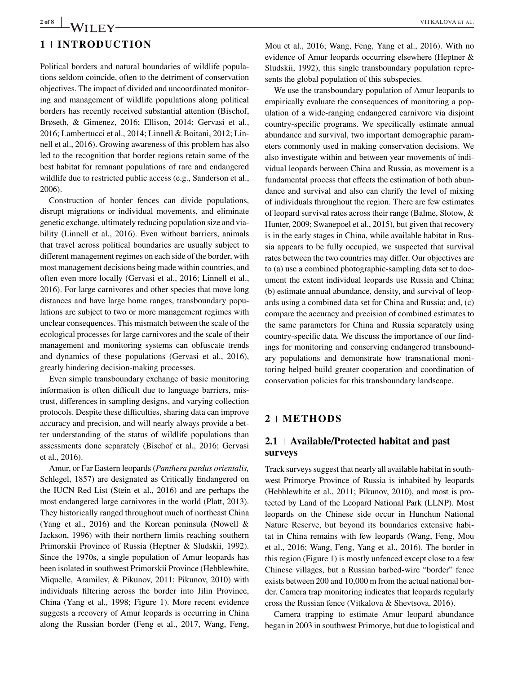## **2 of 8** WILEY WE REPORT THE VEHICLE SET AL. **1 INTRODUCTION**

Political borders and natural boundaries of wildlife populations seldom coincide, often to the detriment of conservation objectives. The impact of divided and uncoordinated monitoring and management of wildlife populations along political borders has recently received substantial attention (Bischof, Brøseth, & Gimenez, 2016; Ellison, 2014; Gervasi et al., 2016; Lambertucci et al., 2014; Linnell & Boitani, 2012; Linnell et al., 2016). Growing awareness of this problem has also led to the recognition that border regions retain some of the best habitat for remnant populations of rare and endangered wildlife due to restricted public access (e.g., Sanderson et al., 2006).

Construction of border fences can divide populations, disrupt migrations or individual movements, and eliminate genetic exchange, ultimately reducing population size and viability (Linnell et al., 2016). Even without barriers, animals that travel across political boundaries are usually subject to different management regimes on each side of the border, with most management decisions being made within countries, and often even more locally (Gervasi et al., 2016; Linnell et al., 2016). For large carnivores and other species that move long distances and have large home ranges, transboundary populations are subject to two or more management regimes with unclear consequences. This mismatch between the scale of the ecological processes for large carnivores and the scale of their management and monitoring systems can obfuscate trends and dynamics of these populations (Gervasi et al., 2016), greatly hindering decision-making processes.

Even simple transboundary exchange of basic monitoring information is often difficult due to language barriers, mistrust, differences in sampling designs, and varying collection protocols. Despite these difficulties, sharing data can improve accuracy and precision, and will nearly always provide a better understanding of the status of wildlife populations than assessments done separately (Bischof et al., 2016; Gervasi et al., 2016).

Amur, or Far Eastern leopards (*Panthera pardus orientalis,* Schlegel, 1857) are designated as Critically Endangered on the IUCN Red List (Stein et al., 2016) and are perhaps the most endangered large carnivores in the world (Platt, 2013). They historically ranged throughout much of northeast China (Yang et al., 2016) and the Korean peninsula (Nowell & Jackson, 1996) with their northern limits reaching southern Primorskii Province of Russia (Heptner & Sludskii, 1992). Since the 1970s, a single population of Amur leopards has been isolated in southwest Primorskii Province (Hebblewhite, Miquelle, Aramilev, & Pikunov, 2011; Pikunov, 2010) with individuals filtering across the border into Jilin Province, China (Yang et al., 1998; Figure 1). More recent evidence suggests a recovery of Amur leopards is occurring in China along the Russian border (Feng et al., 2017, Wang, Feng, Mou et al., 2016; Wang, Feng, Yang et al., 2016). With no evidence of Amur leopards occurring elsewhere (Heptner & Sludskii, 1992), this single transboundary population represents the global population of this subspecies.

We use the transboundary population of Amur leopards to empirically evaluate the consequences of monitoring a population of a wide-ranging endangered carnivore via disjoint country-specific programs. We specifically estimate annual abundance and survival, two important demographic parameters commonly used in making conservation decisions. We also investigate within and between year movements of individual leopards between China and Russia, as movement is a fundamental process that effects the estimation of both abundance and survival and also can clarify the level of mixing of individuals throughout the region. There are few estimates of leopard survival rates across their range (Balme, Slotow, & Hunter, 2009; Swanepoel et al., 2015), but given that recovery is in the early stages in China, while available habitat in Russia appears to be fully occupied, we suspected that survival rates between the two countries may differ. Our objectives are to (a) use a combined photographic-sampling data set to document the extent individual leopards use Russia and China; (b) estimate annual abundance, density, and survival of leopards using a combined data set for China and Russia; and, (c) compare the accuracy and precision of combined estimates to the same parameters for China and Russia separately using country-specific data. We discuss the importance of our findings for monitoring and conserving endangered transboundary populations and demonstrate how transnational monitoring helped build greater cooperation and coordination of conservation policies for this transboundary landscape.

### **2 METHODS**

### **2.1 Available/Protected habitat and past surveys**

Track surveys suggest that nearly all available habitat in southwest Primorye Province of Russia is inhabited by leopards (Hebblewhite et al., 2011; Pikunov, 2010), and most is protected by Land of the Leopard National Park (LLNP). Most leopards on the Chinese side occur in Hunchun National Nature Reserve, but beyond its boundaries extensive habitat in China remains with few leopards (Wang, Feng, Mou et al., 2016; Wang, Feng, Yang et al., 2016). The border in this region (Figure 1) is mostly unfenced except close to a few Chinese villages, but a Russian barbed-wire "border" fence exists between 200 and 10,000 m from the actual national border. Camera trap monitoring indicates that leopards regularly cross the Russian fence (Vitkalova & Shevtsova, 2016).

Camera trapping to estimate Amur leopard abundance began in 2003 in southwest Primorye, but due to logistical and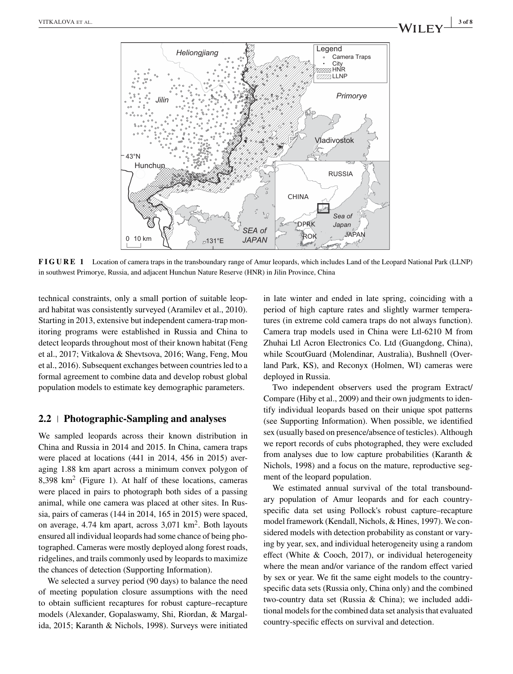

**FIGURE 1** Location of camera traps in the transboundary range of Amur leopards, which includes Land of the Leopard National Park (LLNP) in southwest Primorye, Russia, and adjacent Hunchun Nature Reserve (HNR) in Jilin Province, China

technical constraints, only a small portion of suitable leopard habitat was consistently surveyed (Aramilev et al., 2010). Starting in 2013, extensive but independent camera-trap monitoring programs were established in Russia and China to detect leopards throughout most of their known habitat (Feng et al., 2017; Vitkalova & Shevtsova, 2016; Wang, Feng, Mou et al., 2016). Subsequent exchanges between countries led to a formal agreement to combine data and develop robust global population models to estimate key demographic parameters.

### **2.2 Photographic-Sampling and analyses**

We sampled leopards across their known distribution in China and Russia in 2014 and 2015. In China, camera traps were placed at locations (441 in 2014, 456 in 2015) averaging 1.88 km apart across a minimum convex polygon of 8.398  $km^2$  (Figure 1). At half of these locations, cameras were placed in pairs to photograph both sides of a passing animal, while one camera was placed at other sites. In Russia, pairs of cameras (144 in 2014, 165 in 2015) were spaced, on average,  $4.74$  km apart, across  $3.071$  km<sup>2</sup>. Both layouts ensured all individual leopards had some chance of being photographed. Cameras were mostly deployed along forest roads, ridgelines, and trails commonly used by leopards to maximize the chances of detection (Supporting Information).

We selected a survey period (90 days) to balance the need of meeting population closure assumptions with the need to obtain sufficient recaptures for robust capture–recapture models (Alexander, Gopalaswamy, Shi, Riordan, & Margalida, 2015; Karanth & Nichols, 1998). Surveys were initiated in late winter and ended in late spring, coinciding with a period of high capture rates and slightly warmer temperatures (in extreme cold camera traps do not always function). Camera trap models used in China were Ltl-6210 M from Zhuhai Ltl Acron Electronics Co. Ltd (Guangdong, China), while ScoutGuard (Molendinar, Australia), Bushnell (Overland Park, KS), and Reconyx (Holmen, WI) cameras were deployed in Russia.

Two independent observers used the program Extract/ Compare (Hiby et al., 2009) and their own judgments to identify individual leopards based on their unique spot patterns (see Supporting Information). When possible, we identified sex (usually based on presence/absence of testicles). Although we report records of cubs photographed, they were excluded from analyses due to low capture probabilities (Karanth & Nichols, 1998) and a focus on the mature, reproductive segment of the leopard population.

We estimated annual survival of the total transboundary population of Amur leopards and for each countryspecific data set using Pollock's robust capture–recapture model framework (Kendall, Nichols, & Hines, 1997). We considered models with detection probability as constant or varying by year, sex, and individual heterogeneity using a random effect (White & Cooch, 2017), or individual heterogeneity where the mean and/or variance of the random effect varied by sex or year. We fit the same eight models to the countryspecific data sets (Russia only, China only) and the combined two-country data set (Russia & China); we included additional models for the combined data set analysis that evaluated country-specific effects on survival and detection.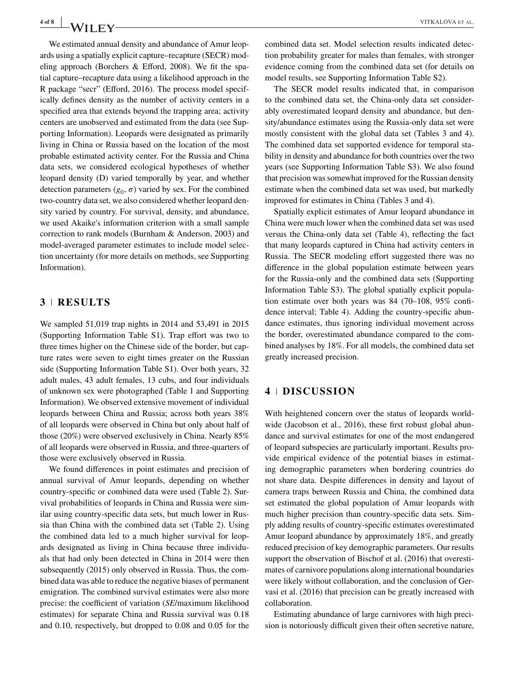We estimated annual density and abundance of Amur leopards using a spatially explicit capture–recapture (SECR) modeling approach (Borchers & Efford, 2008). We fit the spatial capture–recapture data using a likelihood approach in the R package "secr" (Efford, 2016). The process model specifically defines density as the number of activity centers in a specified area that extends beyond the trapping area; activity centers are unobserved and estimated from the data (see Supporting Information). Leopards were designated as primarily living in China or Russia based on the location of the most probable estimated activity center. For the Russia and China data sets, we considered ecological hypotheses of whether leopard density (D) varied temporally by year, and whether detection parameters  $(g_0, \sigma)$  varied by sex. For the combined two-country data set, we also considered whether leopard density varied by country. For survival, density, and abundance, we used Akaike's information criterion with a small sample correction to rank models (Burnham & Anderson, 2003) and model-averaged parameter estimates to include model selection uncertainty (for more details on methods, see Supporting Information).

### **3 RESULTS**

We sampled 51,019 trap nights in 2014 and 53,491 in 2015 (Supporting Information Table S1). Trap effort was two to three times higher on the Chinese side of the border, but capture rates were seven to eight times greater on the Russian side (Supporting Information Table S1). Over both years, 32 adult males, 43 adult females, 13 cubs, and four individuals of unknown sex were photographed (Table 1 and Supporting Information). We observed extensive movement of individual leopards between China and Russia; across both years 38% of all leopards were observed in China but only about half of those (20%) were observed exclusively in China. Nearly 85% of all leopards were observed in Russia, and three-quarters of those were exclusively observed in Russia.

We found differences in point estimates and precision of annual survival of Amur leopards, depending on whether country-specific or combined data were used (Table 2). Survival probabilities of leopards in China and Russia were similar using country-specific data sets, but much lower in Russia than China with the combined data set (Table 2). Using the combined data led to a much higher survival for leopards designated as living in China because three individuals that had only been detected in China in 2014 were then subsequently (2015) only observed in Russia. Thus, the combined data was able to reduce the negative biases of permanent emigration. The combined survival estimates were also more precise: the coefficient of variation (*SE*/maximum likelihood estimates) for separate China and Russia survival was 0.18 and 0.10, respectively, but dropped to 0.08 and 0.05 for the combined data set. Model selection results indicated detection probability greater for males than females, with stronger evidence coming from the combined data set (for details on model results, see Supporting Information Table S2).

The SECR model results indicated that, in comparison to the combined data set, the China-only data set considerably overestimated leopard density and abundance, but density/abundance estimates using the Russia-only data set were mostly consistent with the global data set (Tables 3 and 4). The combined data set supported evidence for temporal stability in density and abundance for both countries over the two years (see Supporting Information Table S3). We also found that precision was somewhat improved for the Russian density estimate when the combined data set was used, but markedly improved for estimates in China (Tables 3 and 4).

Spatially explicit estimates of Amur leopard abundance in China were much lower when the combined data set was used versus the China-only data set (Table 4), reflecting the fact that many leopards captured in China had activity centers in Russia. The SECR modeling effort suggested there was no difference in the global population estimate between years for the Russia-only and the combined data sets (Supporting Information Table S3). The global spatially explicit population estimate over both years was 84 (70–108, 95% confidence interval; Table 4). Adding the country-specific abundance estimates, thus ignoring individual movement across the border, overestimated abundance compared to the combined analyses by 18%. For all models, the combined data set greatly increased precision.

### **4 DISCUSSION**

With heightened concern over the status of leopards worldwide (Jacobson et al., 2016), these first robust global abundance and survival estimates for one of the most endangered of leopard subspecies are particularly important. Results provide empirical evidence of the potential biases in estimating demographic parameters when bordering countries do not share data. Despite differences in density and layout of camera traps between Russia and China, the combined data set estimated the global population of Amur leopards with much higher precision than country-specific data sets. Simply adding results of country-specific estimates overestimated Amur leopard abundance by approximately 18%, and greatly reduced precision of key demographic parameters. Our results support the observation of Bischof et al. (2016) that overestimates of carnivore populations along international boundaries were likely without collaboration, and the conclusion of Gervasi et al. (2016) that precision can be greatly increased with collaboration.

Estimating abundance of large carnivores with high precision is notoriously difficult given their often secretive nature,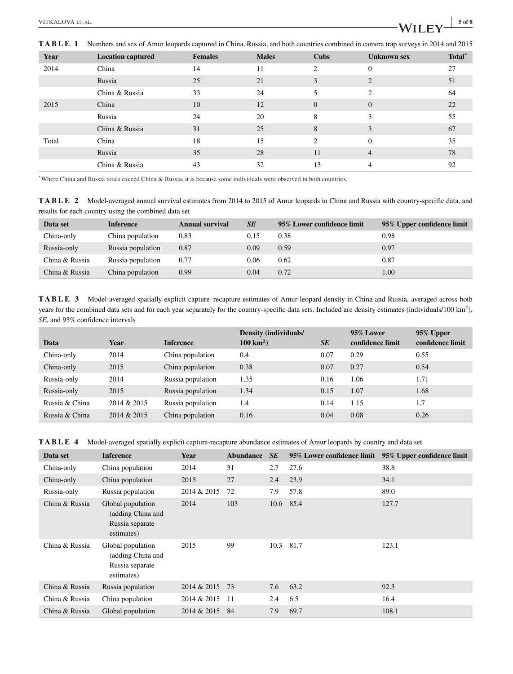**TABLE 1** Numbers and sex of Amur leopards captured in China, Russia, and both countries combined in camera trap surveys in 2014 and 2015

| Year  | <b>Location captured</b> | <b>Females</b> | <b>Males</b> | Cubs           | <b>Unknown sex</b> | Total <sup>*</sup> |
|-------|--------------------------|----------------|--------------|----------------|--------------------|--------------------|
| 2014  | China                    | 14             | 11           | $\mathfrak{D}$ | $\Omega$           | 27                 |
|       | Russia                   | 25             | 21           | 3              | 2                  | 51                 |
|       | China & Russia           | 33             | 24           | 5              | 2                  | 64                 |
| 2015  | China                    | 10             | 12           | $\overline{0}$ | $\overline{0}$     | 22                 |
|       | Russia                   | 24             | 20           | 8              | 3                  | 55                 |
|       | China & Russia           | 31             | 25           | 8              | 3                  | 67                 |
| Total | China                    | 18             | 15           | $\mathfrak{D}$ | $\Omega$           | 35                 |
|       | Russia                   | 35             | 28           | 11             | $\overline{4}$     | 78                 |
|       | China & Russia           | 43             | 32           | 13             | 4                  | 92                 |

\*Where China and Russia totals exceed China & Russia, it is because some individuals were observed in both countries.

**TABLE 2** Model-averaged annual survival estimates from 2014 to 2015 of Amur leopards in China and Russia with country-specific data, and results for each country using the combined data set

| Data set       | <b>Inference</b>  | Annual survival | <b>SE</b> | 95% Lower confidence limit | 95% Upper confidence limit |
|----------------|-------------------|-----------------|-----------|----------------------------|----------------------------|
| China-only     | China population  | 0.83            | 0.15      | 0.38                       | 0.98                       |
| Russia-only    | Russia population | 0.87            | 0.09      | 0.59                       | 0.97                       |
| China & Russia | Russia population | 0.77            | 0.06      | 0.62                       | 0.87                       |
| China & Russia | China population  | 0.99            | 0.04      | 0.72                       | 1.00                       |

**TABLE 3** Model-averaged spatially explicit capture–recapture estimates of Amur leopard density in China and Russia, averaged across both years for the combined data sets and for each year separately for the country-specific data sets. Included are density estimates (individuals/100 km2), *SE*, and 95% confidence intervals

| Data           | Year        | <b>Inference</b>  | <b>Density (individuals/</b><br>$100 \text{ km}^2$ ) | <b>SE</b> | 95% Lower<br>confidence limit | 95% Upper<br>confidence limit |
|----------------|-------------|-------------------|------------------------------------------------------|-----------|-------------------------------|-------------------------------|
| China-only     | 2014        | China population  | 0.4                                                  | 0.07      | 0.29                          | 0.55                          |
| China-only     | 2015        | China population  | 0.38                                                 | 0.07      | 0.27                          | 0.54                          |
| Russia-only    | 2014        | Russia population | 1.35                                                 | 0.16      | 1.06                          | 1.71                          |
| Russia-only    | 2015        | Russia population | 1.34                                                 | 0.15      | 1.07                          | 1.68                          |
| Russia & China | 2014 & 2015 | Russia population | 1.4                                                  | 0.14      | 1.15                          | 1.7                           |
| Russia & China | 2014 & 2015 | China population  | 0.16                                                 | 0.04      | 0.08                          | 0.26                          |

**TABLE 4** Model-averaged spatially explicit capture-recapture abundance estimates of Amur leopards by country and data set

| Data set       | <b>Inference</b>                                                        | Year        | <b>Abundance</b> | <b>SE</b> | 95% Lower confidence limit | 95% Upper confidence limit |
|----------------|-------------------------------------------------------------------------|-------------|------------------|-----------|----------------------------|----------------------------|
| China-only     | China population                                                        | 2014        | 31               | 2.7       | 27.6                       | 38.8                       |
| China-only     | China population                                                        | 2015        | 27               | 2.4       | 23.9                       | 34.1                       |
| Russia-only    | Russia population                                                       | 2014 & 2015 | 72               | 7.9       | 57.8                       | 89.0                       |
| China & Russia | Global population<br>(adding China and<br>Russia separate<br>estimates) | 2014        | 103              |           | 10.6 85.4                  | 127.7                      |
| China & Russia | Global population<br>(adding China and<br>Russia separate<br>estimates) | 2015        | 99               | 10.3      | 81.7                       | 123.1                      |
| China & Russia | Russia population                                                       | 2014 & 2015 | 73               | 7.6       | 63.2                       | 92.3                       |
| China & Russia | China population                                                        | 2014 & 2015 | -11              | 2.4       | 6.5                        | 16.4                       |
| China & Russia | Global population                                                       | 2014 & 2015 | -84              | 7.9       | 69.7                       | 108.1                      |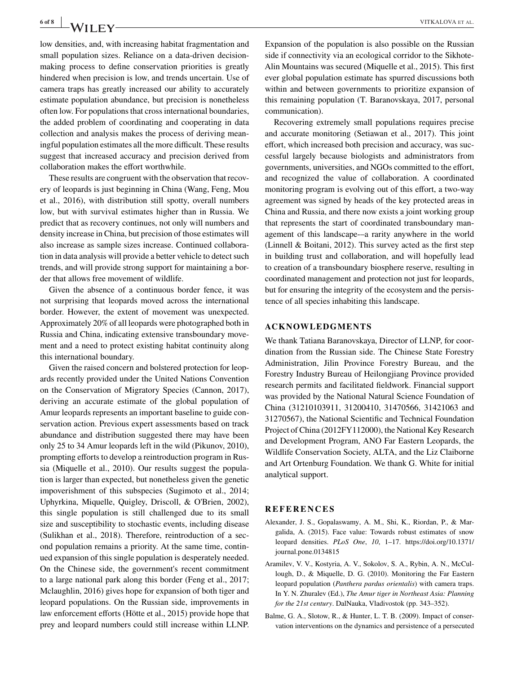**6 of 8** WITKALOVA ET AL.

low densities, and, with increasing habitat fragmentation and small population sizes. Reliance on a data-driven decisionmaking process to define conservation priorities is greatly hindered when precision is low, and trends uncertain. Use of camera traps has greatly increased our ability to accurately estimate population abundance, but precision is nonetheless often low. For populations that cross international boundaries, the added problem of coordinating and cooperating in data collection and analysis makes the process of deriving meaningful population estimates all the more difficult. These results suggest that increased accuracy and precision derived from collaboration makes the effort worthwhile.

These results are congruent with the observation that recovery of leopards is just beginning in China (Wang, Feng, Mou et al., 2016), with distribution still spotty, overall numbers low, but with survival estimates higher than in Russia. We predict that as recovery continues, not only will numbers and density increase in China, but precision of those estimates will also increase as sample sizes increase. Continued collaboration in data analysis will provide a better vehicle to detect such trends, and will provide strong support for maintaining a border that allows free movement of wildlife.

Given the absence of a continuous border fence, it was not surprising that leopards moved across the international border. However, the extent of movement was unexpected. Approximately 20% of all leopards were photographed both in Russia and China, indicating extensive transboundary movement and a need to protect existing habitat continuity along this international boundary.

Given the raised concern and bolstered protection for leopards recently provided under the United Nations Convention on the Conservation of Migratory Species (Cannon, 2017), deriving an accurate estimate of the global population of Amur leopards represents an important baseline to guide conservation action. Previous expert assessments based on track abundance and distribution suggested there may have been only 25 to 34 Amur leopards left in the wild (Pikunov, 2010), prompting efforts to develop a reintroduction program in Russia (Miquelle et al., 2010). Our results suggest the population is larger than expected, but nonetheless given the genetic impoverishment of this subspecies (Sugimoto et al., 2014; Uphyrkina, Miquelle, Quigley, Driscoll, & O'Brien, 2002), this single population is still challenged due to its small size and susceptibility to stochastic events, including disease (Sulikhan et al., 2018). Therefore, reintroduction of a second population remains a priority. At the same time, continued expansion of this single population is desperately needed. On the Chinese side, the government's recent commitment to a large national park along this border (Feng et al., 2017; Mclaughlin, 2016) gives hope for expansion of both tiger and leopard populations. On the Russian side, improvements in law enforcement efforts (Hötte et al., 2015) provide hope that prey and leopard numbers could still increase within LLNP.

Expansion of the population is also possible on the Russian side if connectivity via an ecological corridor to the Sikhote-Alin Mountains was secured (Miquelle et al., 2015). This first ever global population estimate has spurred discussions both within and between governments to prioritize expansion of this remaining population (T. Baranovskaya, 2017, personal communication).

Recovering extremely small populations requires precise and accurate monitoring (Setiawan et al., 2017). This joint effort, which increased both precision and accuracy, was successful largely because biologists and administrators from governments, universities, and NGOs committed to the effort, and recognized the value of collaboration. A coordinated monitoring program is evolving out of this effort, a two-way agreement was signed by heads of the key protected areas in China and Russia, and there now exists a joint working group that represents the start of coordinated transboundary management of this landscape-–a rarity anywhere in the world (Linnell & Boitani, 2012). This survey acted as the first step in building trust and collaboration, and will hopefully lead to creation of a transboundary biosphere reserve, resulting in coordinated management and protection not just for leopards, but for ensuring the integrity of the ecosystem and the persistence of all species inhabiting this landscape.

### **ACKNOWLEDGMENTS**

We thank Tatiana Baranovskaya, Director of LLNP, for coordination from the Russian side. The Chinese State Forestry Administration, Jilin Province Forestry Bureau, and the Forestry Industry Bureau of Heilongjiang Province provided research permits and facilitated fieldwork. Financial support was provided by the National Natural Science Foundation of China (31210103911, 31200410, 31470566, 31421063 and 31270567), the National Scientific and Technical Foundation Project of China (2012FY112000), the National Key Research and Development Program, ANO Far Eastern Leopards, the Wildlife Conservation Society, ALTA, and the Liz Claiborne and Art Ortenburg Foundation. We thank G. White for initial analytical support.

### **REFERENCES**

- Alexander, J. S., Gopalaswamy, A. M., Shi, K., Riordan, P., & Margalida, A. (2015). Face value: Towards robust estimates of snow leopard densities. *PLoS One*, *10*, 1–17. [https://doi.org/10.1371/](https://doi.org/10.1371/journal.pone.0134815) [journal.pone.0134815](https://doi.org/10.1371/journal.pone.0134815)
- Aramilev, V. V., Kostyria, A. V., Sokolov, S. A., Rybin, A. N., McCullough, D., & Miquelle, D. G. (2010). Monitoring the Far Eastern leopard population (*Panthera pardus orientalis*) with camera traps. In Y. N. Zhuralev (Ed.), *The Amur tiger in Northeast Asia: Planning for the 21st century*. DalNauka, Vladivostok (pp. 343–352).
- Balme, G. A., Slotow, R., & Hunter, L. T. B. (2009). Impact of conservation interventions on the dynamics and persistence of a persecuted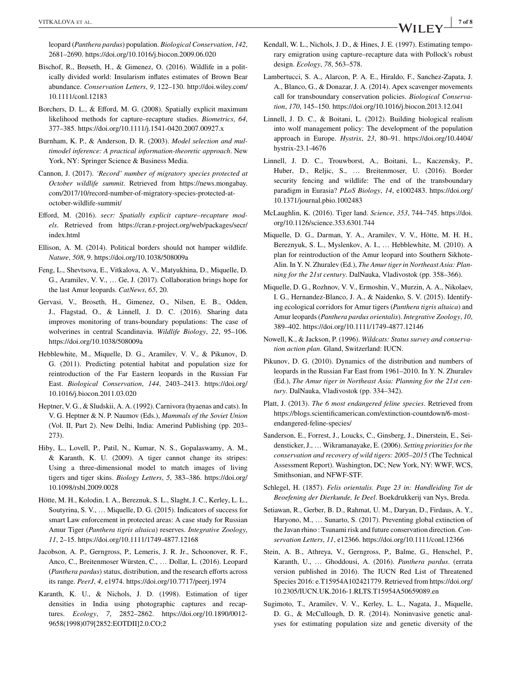leopard (*Panthera pardus*) population. *Biological Conservation*, *142*, 2681–2690.<https://doi.org/10.1016/j.biocon.2009.06.020>

- Bischof, R., Brøseth, H., & Gimenez, O. (2016). Wildlife in a politically divided world: Insularism inflates estimates of Brown Bear abundance. *Conservation Letters*, *9*, 122–130. [http://doi.wiley.com/](http://doi.wiley.com/10.1111/conl.12183) [10.1111/conl.12183](http://doi.wiley.com/10.1111/conl.12183)
- Borchers, D. L., & Efford, M. G. (2008). Spatially explicit maximum likelihood methods for capture–recapture studies. *Biometrics*, *64*, 377–385.<https://doi.org/10.1111/j.1541-0420.2007.00927.x>
- Burnham, K. P., & Anderson, D. R. (2003). *Model selection and multimodel inference: A practical information-theoretic approach*. New York, NY: Springer Science & Business Media.
- Cannon, J. (2017). *'Record' number of migratory species protected at October wildlife summit*. Retrieved from [https://news.mongabay.](https://news.mongabay.com/2017/10/record-number-of-migratory-species-protected-at-october-wildlife-summit/) [com/2017/10/record-number-of-migratory-species-protected-at](https://news.mongabay.com/2017/10/record-number-of-migratory-species-protected-at-october-wildlife-summit/)[october-wildlife-summit/](https://news.mongabay.com/2017/10/record-number-of-migratory-species-protected-at-october-wildlife-summit/)
- Efford, M. (2016). *secr: Spatially explicit capture–recapture models*. Retrieved from [https://cran.r-project.org/web/packages/secr/](https://cran.r-project.org/web/packages/secr/index.html) [index.html](https://cran.r-project.org/web/packages/secr/index.html)
- Ellison, A. M. (2014). Political borders should not hamper wildlife. *Nature*, *508*, 9.<https://doi.org/10.1038/508009a>
- Feng, L., Shevtsova, E., Vitkalova, A. V., Matyukhina, D., Miquelle, D. G., Aramilev, V. V., … Ge, J. (2017). Collaboration brings hope for the last Amur leopards. *CatNews*, *65*, 20.
- Gervasi, V., Broseth, H., Gimenez, O., Nilsen, E. B., Odden, J., Flagstad, O., & Linnell, J. D. C. (2016). Sharing data improves monitoring of trans-boundary populations: The case of wolverines in central Scandinavia. *Wildlife Biology*, *22*, 95–106. <https://doi.org/10.1038/508009a>
- Hebblewhite, M., Miquelle, D. G., Aramilev, V. V., & Pikunov, D. G. (2011). Predicting potential habitat and population size for reintroduction of the Far Eastern leopards in the Russian Far East. *Biological Conservation*, *144*, 2403–2413. [https://doi.org/](https://doi.org/10.1016/j.biocon.2011.03.020) [10.1016/j.biocon.2011.03.020](https://doi.org/10.1016/j.biocon.2011.03.020)
- Heptner, V. G., & Sludskii, A. A. (1992). Carnivora (hyaenas and cats). In V. G. Heptner & N. P. Naumov (Eds.), *Mammals of the Soviet Union* (Vol. II, Part 2). New Delhi, India: Amerind Publishing (pp. 203– 273).
- Hiby, L., Lovell, P., Patil, N., Kumar, N. S., Gopalaswamy, A. M., & Karanth, K. U. (2009). A tiger cannot change its stripes: Using a three-dimensional model to match images of living tigers and tiger skins. *Biology Letters*, *5*, 383–386. [https://doi.org/](https://doi.org/10.1098/rsbl.2009.0028) [10.1098/rsbl.2009.0028](https://doi.org/10.1098/rsbl.2009.0028)
- Hötte, M. H., Kolodin, I. A., Bereznuk, S. L., Slaght, J. C., Kerley, L. L., Soutyrina, S. V., … Miquelle, D. G. (2015). Indicators of success for smart Law enforcement in protected areas: A case study for Russian Amur Tiger (*Panthera tigris altaica*) reserves. *Integrative Zoology*, *11*, 2–15.<https://doi.org/10.1111/1749-4877.12168>
- Jacobson, A. P., Gerngross, P., Lemeris, J. R. Jr., Schoonover, R. F., Anco, C., Breitenmoser Würsten, C., … Dollar, L. (2016). Leopard (*Panthera pardus*) status, distribution, and the research efforts across its range. *PeerJ*, *4*, e1974.<https://doi.org/10.7717/peerj.1974>
- Karanth, K. U., & Nichols, J. D. (1998). Estimation of tiger densities in India using photographic captures and recaptures. *Ecology*, *7*, 2852–2862. [https://doi.org/10.1890/0012-](https://doi.org/10.1890/0012-9658\0501998\0510792852:EOTDII2.0.CO;2) [9658\(1998\)079\[2852:EOTDII\]2.0.CO;2](https://doi.org/10.1890/0012-9658\0501998\0510792852:EOTDII2.0.CO;2)
- Kendall, W. L., Nichols, J. D., & Hines, J. E. (1997). Estimating temporary emigration using capture–recapture data with Pollock's robust design. *Ecology*, *78*, 563–578.
- Lambertucci, S. A., Alarcon, P. A. E., Hiraldo, F., Sanchez-Zapata, J. A., Blanco, G., & Donazar, J. A. (2014). Apex scavenger movements call for transboundary conservation policies. *Biological Conservation*, *170*, 145–150.<https://doi.org/10.1016/j.biocon.2013.12.041>
- Linnell, J. D. C., & Boitani, L. (2012). Building biological realism into wolf management policy: The development of the population approach in Europe. *Hystrix*, *23*, 80–91. [https://doi.org/10.4404/](https://doi.org/10.4404/hystrix-23.1-4676) [hystrix-23.1-4676](https://doi.org/10.4404/hystrix-23.1-4676)
- Linnell, J. D. C., Trouwborst, A., Boitani, L., Kaczensky, P., Huber, D., Reljic, S., … Breitenmoser, U. (2016). Border security fencing and wildlife: The end of the transboundary paradigm in Eurasia? *PLoS Biology*, *14*, e1002483. [https://doi.org/](https://doi.org/10.1371/journal.pbio.1002483) [10.1371/journal.pbio.1002483](https://doi.org/10.1371/journal.pbio.1002483)
- McLaughlin, K. (2016). Tiger land. *Science*, *353*, 744–745. [https://doi.](https://doi.org/10.1126/science.353.6301.744) [org/10.1126/science.353.6301.744](https://doi.org/10.1126/science.353.6301.744)
- Miquelle, D. G., Darman, Y. A., Aramilev, V. V., Hötte, M. H. H., Bereznyuk, S. L., Myslenkov, A. I., … Hebblewhite, M. (2010). A plan for reintroduction of the Amur leopard into Southern Sikhote-Alin. In Y. N. Zhuralev (Ed.), *The Amur tiger in Northeast Asia: Planning for the 21st century*. DalNauka, Vladivostok (pp. 358–366).
- Miquelle, D. G., Rozhnov, V. V., Ermoshin, V., Murzin, A. A., Nikolaev, I. G., Hernandez-Blanco, J. A., & Naidenko, S. V. (2015). Identifying ecological corridors for Amur tigers (*Panthera tigris altaica*) and Amur leopards (*Panthera pardus orientalis*). *Integrative Zoology*, *10*, 389–402.<https://doi.org/10.1111/1749-4877.12146>
- Nowell, K., & Jackson, P. (1996). *Wildcats: Status survey and conservation action plan*. Gland, Switzerland: IUCN.
- Pikunov, D. G. (2010). Dynamics of the distribution and numbers of leopards in the Russian Far East from 1961–2010. In Y. N. Zhuralev (Ed.), *The Amur tiger in Northeast Asia: Planning for the 21st century*. DalNauka, Vladivostok (pp. 334–342).
- Platt, J. (2013). *The 6 most endangered feline species*. Retrieved from [https://blogs.scientificamerican.com/extinction-countdown/6-most](https://blogs.scientificamerican.com/extinction-countdown/6-most-endangered-feline-species/)[endangered-feline-species/](https://blogs.scientificamerican.com/extinction-countdown/6-most-endangered-feline-species/)
- Sanderson, E., Forrest, J., Loucks, C., Ginsberg, J., Dinerstein, E., Seidensticker, J., … Wikramanayake, E. (2006). *Setting priorities for the conservation and recovery of wild tigers: 2005–2015* (The Technical Assessment Report). Washington, DC; New York, NY: WWF, WCS, Smithsonian, and NFWF-STF.
- Schlegel, H. (1857). *Felis orientalis. Page 23 in: Handleiding Tot de Beoefening der Dierkunde, Ie Deel*. Boekdrukkerij van Nys, Breda.
- Setiawan, R., Gerber, B. D., Rahmat, U. M., Daryan, D., Firdaus, A. Y., Haryono, M., … Sunarto, S. (2017). Preventing global extinction of the Javan rhino : Tsunami risk and future conservation direction. *Conservation Letters*, *11*, e12366.<https://doi.org/10.1111/conl.12366>
- Stein, A. B., Athreya, V., Gerngross, P., Balme, G., Henschel, P., Karanth, U., … Ghoddousi, A. (2016). *Panthera pardus*. (errata version published in 2016). The IUCN Red List of Threatened Species 2016: e.T15954A102421779. Retrieved from [https://doi.org/](https://doi.org/10.2305/IUCN.UK.2016-1.RLTS.T15954A50659089.en) [10.2305/IUCN.UK.2016-1.RLTS.T15954A50659089.en](https://doi.org/10.2305/IUCN.UK.2016-1.RLTS.T15954A50659089.en)
- Sugimoto, T., Aramilev, V. V., Kerley, L. L., Nagata, J., Miquelle, D. G., & McCullough, D. R. (2014). Noninvasive genetic analyses for estimating population size and genetic diversity of the